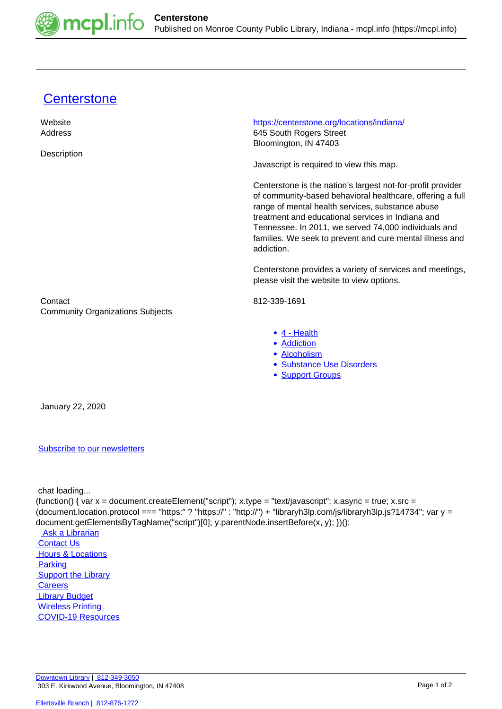

## [Centerstone](https://mcpl.info/commorg/centerstone)

| Website                                            | https://centerstone.org/locations/indiana/                                                                                                                                                                                                                                                                                                                          |
|----------------------------------------------------|---------------------------------------------------------------------------------------------------------------------------------------------------------------------------------------------------------------------------------------------------------------------------------------------------------------------------------------------------------------------|
| Address                                            | 645 South Rogers Street                                                                                                                                                                                                                                                                                                                                             |
|                                                    | Bloomington, IN 47403                                                                                                                                                                                                                                                                                                                                               |
| Description                                        |                                                                                                                                                                                                                                                                                                                                                                     |
|                                                    | Javascript is required to view this map.                                                                                                                                                                                                                                                                                                                            |
|                                                    | Centerstone is the nation's largest not-for-profit provider<br>of community-based behavioral healthcare, offering a full<br>range of mental health services, substance abuse<br>treatment and educational services in Indiana and<br>Tennessee. In 2011, we served 74,000 individuals and<br>families. We seek to prevent and cure mental illness and<br>addiction. |
|                                                    | Centerstone provides a variety of services and meetings,<br>please visit the website to view options.                                                                                                                                                                                                                                                               |
| Contact<br><b>Community Organizations Subjects</b> | 812-339-1691                                                                                                                                                                                                                                                                                                                                                        |
|                                                    | • 4 - Health<br>• Addiction<br>· Alcoholism<br>· Substance Use Disorders<br>• Support Groups                                                                                                                                                                                                                                                                        |
| January 22, 2020                                   |                                                                                                                                                                                                                                                                                                                                                                     |

## [Subscribe to our newsletters](https://mcpl.info/geninfo/subscribe-think-library-newsletter)

chat loading...

(function() { var x = document.createElement("script"); x.type = "text/javascript"; x.async = true; x.src = (document.location.protocol === "https:" ? "https://" : "http://") + "libraryh3lp.com/js/libraryh3lp.js?14734"; var y = document.getElementsByTagName("script")[0]; y.parentNode.insertBefore(x, y); })();

 [Ask a Librarian](https://mcpl.info/askus)  [Contact Us](https://mcpl.info/geninfo/contact-us) **Hours & Locations Parking Support the Library Careers**  [Library Budget](https://budgetnotices.in.gov/unit_lookup.aspx?ct=53000)  [Wireless Printing](https://tbs.eprintit.com/portal/#/ppl/upload/monroecpl)  [COVID-19 Resources](https://mcpl.info/geninfo/local-covid-resources)